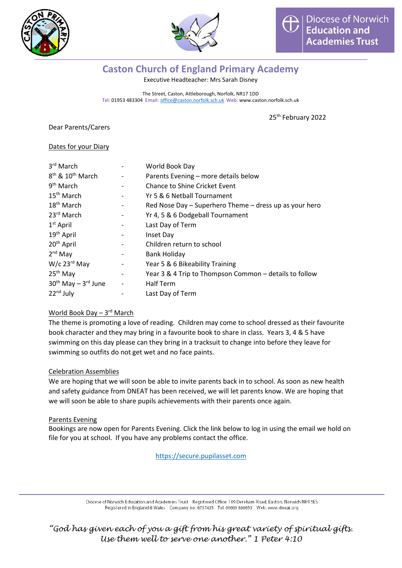



# **Caston Church of England Primary Academy**

Executive Headteacher: Mrs Sarah Disney

The Street, Caston, Attleborough, Norfolk, NR17 1DD Tel: 01953 483304 Email: [office@caston.norfolk.sch.uk](mailto:office@caston.norfolk.sch.uk) Web: www.caston.norfolk.sch.uk

25<sup>th</sup> February 2022

Dear Parents/Carers

#### Dates for your Diary

| 3rd March                                | World Book Day                                         |
|------------------------------------------|--------------------------------------------------------|
| 8 <sup>th</sup> & 10 <sup>th</sup> March | Parents Evening - more details below                   |
| 9 <sup>th</sup> March                    | Chance to Shine Cricket Event                          |
| 15 <sup>th</sup> March                   | Yr 5 & 6 Netball Tournament                            |
| 18 <sup>th</sup> March                   | Red Nose Day - Superhero Theme - dress up as your hero |
| 23rd March                               | Yr 4, 5 & 6 Dodgeball Tournament                       |
| $1st$ April                              | Last Day of Term                                       |
| 19 <sup>th</sup> April                   | Inset Day                                              |
| 20 <sup>th</sup> April                   | Children return to school                              |
| $2nd$ May                                | Bank Holiday                                           |
| $W/c$ 23 <sup>rd</sup> May               | Year 5 & 6 Bikeability Training                        |
| 25 <sup>th</sup> May                     | Year 3 & 4 Trip to Thompson Common - details to follow |
| $30th$ May $-3rd$ June                   | <b>Half Term</b>                                       |
| $22nd$ July                              | Last Day of Term                                       |

# <u>World Book Day – 3<sup>rd</sup> March</u>

The theme is promoting a love of reading. Children may come to school dressed as their favourite book character and they may bring in a favourite book to share in class. Years 3, 4 & 5 have swimming on this day please can they bring in a tracksuit to change into before they leave for swimming so outfits do not get wet and no face paints.

#### Celebration Assemblies

We are hoping that we will soon be able to invite parents back in to school. As soon as new health and safety guidance from DNEAT has been received, we will let parents know. We are hoping that we will soon be able to share pupils achievements with their parents once again.

#### Parents Evening

Bookings are now open for Parents Evening. Click the link below to log in using the email we hold on file for you at school. If you have any problems contact the office.

[https://secure.pupilasset.com](https://secure.pupilasset.com/)

Diocese of Norwich Education and Academies Trust Registered Office: 109 Dereham Road, Easton, Norwich NR9 5ES Registered in England & Wales Company no: 8737435 Tel: 01603 880853 Web: www.dneat.org

*"God has given each of you a gift from his great variety of spiritual gifts. Use them well to serve one another." 1 Peter 4:10*